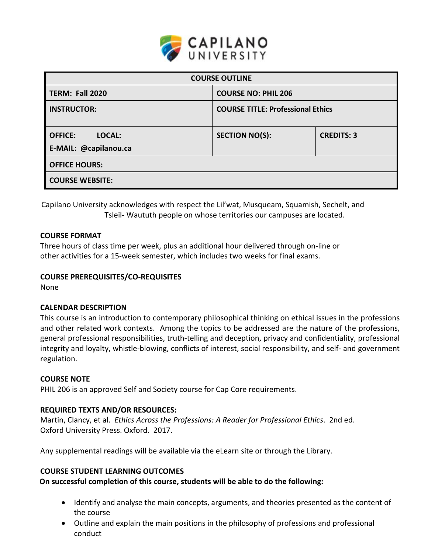

| <b>COURSE OUTLINE</b>                             |                                          |                   |  |  |  |
|---------------------------------------------------|------------------------------------------|-------------------|--|--|--|
| <b>TERM: Fall 2020</b>                            | <b>COURSE NO: PHIL 206</b>               |                   |  |  |  |
| <b>INSTRUCTOR:</b>                                | <b>COURSE TITLE: Professional Ethics</b> |                   |  |  |  |
| <b>OFFICE:</b><br>LOCAL:<br>E-MAIL: @capilanou.ca | <b>SECTION NO(S):</b>                    | <b>CREDITS: 3</b> |  |  |  |
| <b>OFFICE HOURS:</b>                              |                                          |                   |  |  |  |
| <b>COURSE WEBSITE:</b>                            |                                          |                   |  |  |  |

Capilano University acknowledges with respect the Lil'wat, Musqueam, Squamish, Sechelt, and Tsleil- Waututh people on whose territories our campuses are located.

# **COURSE FORMAT**

Three hours of class time per week, plus an additional hour delivered through on-line or other activities for a 15-week semester, which includes two weeks for final exams.

# **COURSE PREREQUISITES/CO-REQUISITES**

None

### **CALENDAR DESCRIPTION**

This course is an introduction to contemporary philosophical thinking on ethical issues in the professions and other related work contexts. Among the topics to be addressed are the nature of the professions, general professional responsibilities, truth-telling and deception, privacy and confidentiality, professional integrity and loyalty, whistle-blowing, conflicts of interest, social responsibility, and self- and government regulation.

### **COURSE NOTE**

PHIL 206 is an approved Self and Society course for Cap Core requirements.

### **REQUIRED TEXTS AND/OR RESOURCES:**

Martin, Clancy, et al. *Ethics Across the Professions: A Reader for Professional Ethics*. 2nd ed. Oxford University Press. Oxford. 2017.

Any supplemental readings will be available via the eLearn site or through the Library.

# **COURSE STUDENT LEARNING OUTCOMES**

**On successful completion of this course, students will be able to do the following:**

- Identify and analyse the main concepts, arguments, and theories presented as the content of the course
- Outline and explain the main positions in the philosophy of professions and professional conduct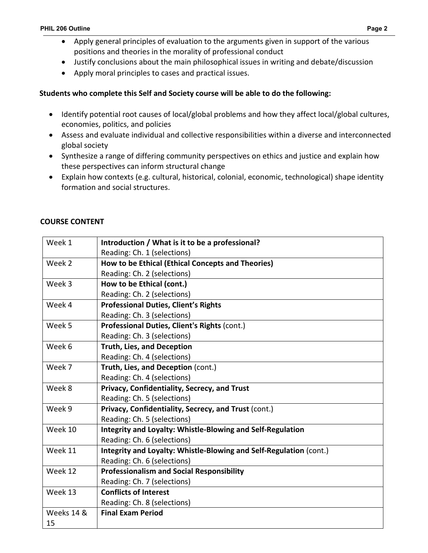- Apply general principles of evaluation to the arguments given in support of the various positions and theories in the morality of professional conduct
- Justify conclusions about the main philosophical issues in writing and debate/discussion
- Apply moral principles to cases and practical issues.

# **Students who complete this Self and Society course will be able to do the following:**

- Identify potential root causes of local/global problems and how they affect local/global cultures, economies, politics, and policies
- Assess and evaluate individual and collective responsibilities within a diverse and interconnected global society
- Synthesize a range of differing community perspectives on ethics and justice and explain how these perspectives can inform structural change
- Explain how contexts (e.g. cultural, historical, colonial, economic, technological) shape identity formation and social structures.

### **COURSE CONTENT**

| Week 1     | Introduction / What is it to be a professional?                    |  |  |  |
|------------|--------------------------------------------------------------------|--|--|--|
|            | Reading: Ch. 1 (selections)                                        |  |  |  |
| Week 2     | How to be Ethical (Ethical Concepts and Theories)                  |  |  |  |
|            | Reading: Ch. 2 (selections)                                        |  |  |  |
| Week 3     | How to be Ethical (cont.)                                          |  |  |  |
|            | Reading: Ch. 2 (selections)                                        |  |  |  |
| Week 4     | <b>Professional Duties, Client's Rights</b>                        |  |  |  |
|            | Reading: Ch. 3 (selections)                                        |  |  |  |
| Week 5     | Professional Duties, Client's Rights (cont.)                       |  |  |  |
|            | Reading: Ch. 3 (selections)                                        |  |  |  |
| Week 6     | <b>Truth, Lies, and Deception</b>                                  |  |  |  |
|            | Reading: Ch. 4 (selections)                                        |  |  |  |
| Week 7     | Truth, Lies, and Deception (cont.)                                 |  |  |  |
|            | Reading: Ch. 4 (selections)                                        |  |  |  |
| Week 8     | Privacy, Confidentiality, Secrecy, and Trust                       |  |  |  |
|            | Reading: Ch. 5 (selections)                                        |  |  |  |
| Week 9     | Privacy, Confidentiality, Secrecy, and Trust (cont.)               |  |  |  |
|            | Reading: Ch. 5 (selections)                                        |  |  |  |
| Week 10    | Integrity and Loyalty: Whistle-Blowing and Self-Regulation         |  |  |  |
|            | Reading: Ch. 6 (selections)                                        |  |  |  |
| Week 11    | Integrity and Loyalty: Whistle-Blowing and Self-Regulation (cont.) |  |  |  |
|            | Reading: Ch. 6 (selections)                                        |  |  |  |
| Week 12    | <b>Professionalism and Social Responsibility</b>                   |  |  |  |
|            | Reading: Ch. 7 (selections)                                        |  |  |  |
| Week 13    | <b>Conflicts of Interest</b>                                       |  |  |  |
|            | Reading: Ch. 8 (selections)                                        |  |  |  |
| Weeks 14 & | <b>Final Exam Period</b>                                           |  |  |  |
| 15         |                                                                    |  |  |  |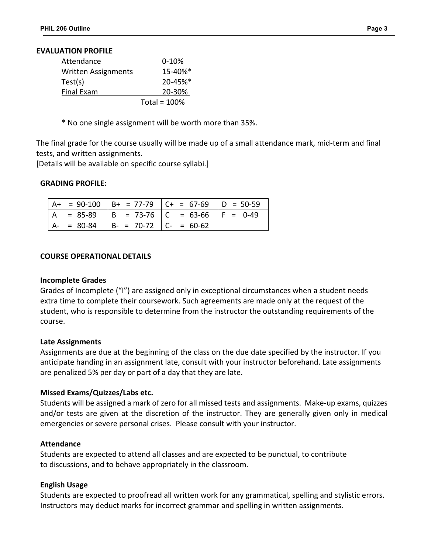#### **EVALUATION PROFILE**

|                            | Total = $100%$ |
|----------------------------|----------------|
| <b>Final Exam</b>          | 20-30%         |
| Test(s)                    | $20 - 45%$     |
| <b>Written Assignments</b> | 15-40%*        |
| Attendance                 | $0-10%$        |

\* No one single assignment will be worth more than 35%.

The final grade for the course usually will be made up of a small attendance mark, mid-term and final tests, and written assignments.

[Details will be available on specific course syllabi.]

### **GRADING PROFILE:**

|  |                                    | $  A + = 90-100   B + = 77-79   C + = 67-69   D = 50-59$ |  |
|--|------------------------------------|----------------------------------------------------------|--|
|  |                                    | A = 85-89   B = 73-76   C = 63-66   F = 0-49             |  |
|  | $A- = 80-84$ B- = 70-72 C- = 60-62 |                                                          |  |

### **COURSE OPERATIONAL DETAILS**

#### **Incomplete Grades**

Grades of Incomplete ("I") are assigned only in exceptional circumstances when a student needs extra time to complete their coursework. Such agreements are made only at the request of the student, who is responsible to determine from the instructor the outstanding requirements of the course.

#### **Late Assignments**

Assignments are due at the beginning of the class on the due date specified by the instructor. If you anticipate handing in an assignment late, consult with your instructor beforehand. Late assignments are penalized 5% per day or part of a day that they are late.

### **Missed Exams/Quizzes/Labs etc.**

Students will be assigned a mark of zero for all missed tests and assignments. Make-up exams, quizzes and/or tests are given at the discretion of the instructor. They are generally given only in medical emergencies or severe personal crises. Please consult with your instructor.

### **Attendance**

Students are expected to attend all classes and are expected to be punctual, to contribute to discussions, and to behave appropriately in the classroom.

#### **English Usage**

Students are expected to proofread all written work for any grammatical, spelling and stylistic errors. Instructors may deduct marks for incorrect grammar and spelling in written assignments.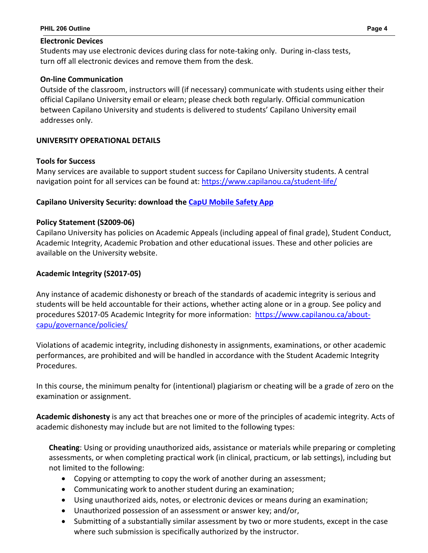## **Electronic Devices**

Students may use electronic devices during class for note-taking only. During in-class tests, turn off all electronic devices and remove them from the desk.

# **On-line Communication**

Outside of the classroom, instructors will (if necessary) communicate with students using either their official Capilano University email or elearn; please check both regularly. Official communication between Capilano University and students is delivered to students' Capilano University email addresses only.

# **UNIVERSITY OPERATIONAL DETAILS**

# **Tools for Success**

Many services are available to support student success for Capilano University students. A central navigation point for all services can be found at:<https://www.capilanou.ca/student-life/>

# **Capilano University Security: download the [CapU Mobile Safety App](https://www.capilanou.ca/student-life/support--wellness/safety--security/capu-safe-app/)**

# **Policy Statement (S2009-06)**

Capilano University has policies on Academic Appeals (including appeal of final grade), Student Conduct, Academic Integrity, Academic Probation and other educational issues. These and other policies are available on the University website.

# **Academic Integrity (S2017-05)**

Any instance of academic dishonesty or breach of the standards of academic integrity is serious and students will be held accountable for their actions, whether acting alone or in a group. See policy and procedures S2017-05 Academic Integrity for more information: [https://www.capilanou.ca/about](https://www.capilanou.ca/about-capu/governance/policies/)[capu/governance/policies/](https://www.capilanou.ca/about-capu/governance/policies/)

Violations of academic integrity, including dishonesty in assignments, examinations, or other academic performances, are prohibited and will be handled in accordance with the Student Academic Integrity Procedures.

In this course, the minimum penalty for (intentional) plagiarism or cheating will be a grade of zero on the examination or assignment.

**Academic dishonesty** is any act that breaches one or more of the principles of academic integrity. Acts of academic dishonesty may include but are not limited to the following types:

**Cheating**: Using or providing unauthorized aids, assistance or materials while preparing or completing assessments, or when completing practical work (in clinical, practicum, or lab settings), including but not limited to the following:

- Copying or attempting to copy the work of another during an assessment;
- Communicating work to another student during an examination;
- Using unauthorized aids, notes, or electronic devices or means during an examination;
- Unauthorized possession of an assessment or answer key; and/or,
- Submitting of a substantially similar assessment by two or more students, except in the case where such submission is specifically authorized by the instructor.